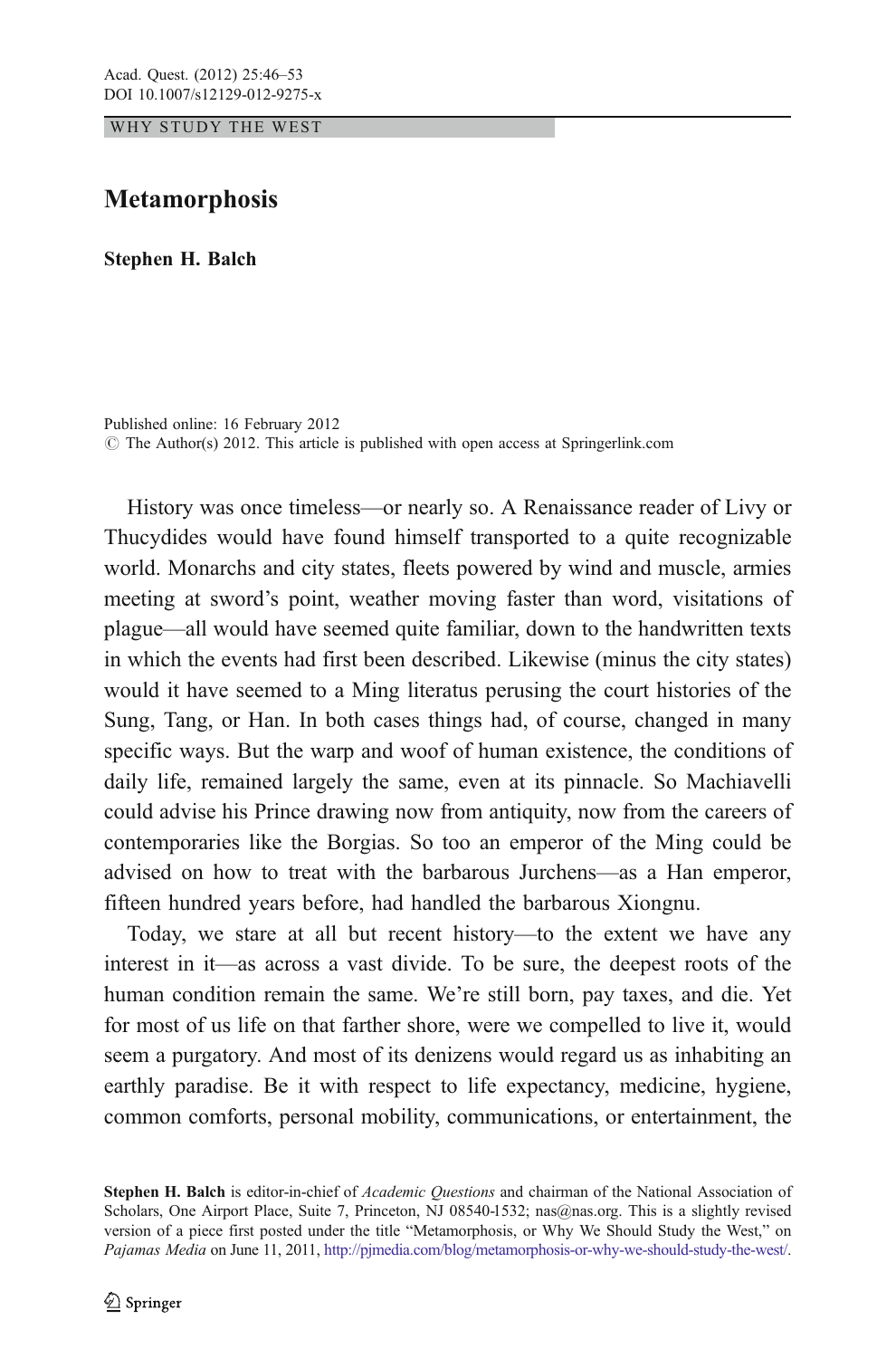WHY STUDY THE WEST

## **Metamorphosis**

Stephen H. Balch

Published online: 16 February 2012  $\circ$  The Author(s) 2012. This article is published with open access at Springerlink.com

History was once timeless—or nearly so. A Renaissance reader of Livy or Thucydides would have found himself transported to a quite recognizable world. Monarchs and city states, fleets powered by wind and muscle, armies meeting at sword's point, weather moving faster than word, visitations of plague—all would have seemed quite familiar, down to the handwritten texts in which the events had first been described. Likewise (minus the city states) would it have seemed to a Ming literatus perusing the court histories of the Sung, Tang, or Han. In both cases things had, of course, changed in many specific ways. But the warp and woof of human existence, the conditions of daily life, remained largely the same, even at its pinnacle. So Machiavelli could advise his Prince drawing now from antiquity, now from the careers of contemporaries like the Borgias. So too an emperor of the Ming could be advised on how to treat with the barbarous Jurchens—as a Han emperor, fifteen hundred years before, had handled the barbarous Xiongnu.

Today, we stare at all but recent history—to the extent we have any interest in it—as across a vast divide. To be sure, the deepest roots of the human condition remain the same. We're still born, pay taxes, and die. Yet for most of us life on that farther shore, were we compelled to live it, would seem a purgatory. And most of its denizens would regard us as inhabiting an earthly paradise. Be it with respect to life expectancy, medicine, hygiene, common comforts, personal mobility, communications, or entertainment, the

Stephen H. Balch is editor-in-chief of Academic Questions and chairman of the National Association of Scholars, One Airport Place, Suite 7, Princeton, NJ 08540-1532; nas@nas.org. This is a slightly revised version of a piece first posted under the title "Metamorphosis, or Why We Should Study the West," on Pajamas Media on June 11, 2011, <http://pjmedia.com/blog/metamorphosis-or-why-we-should-study-the-west/>.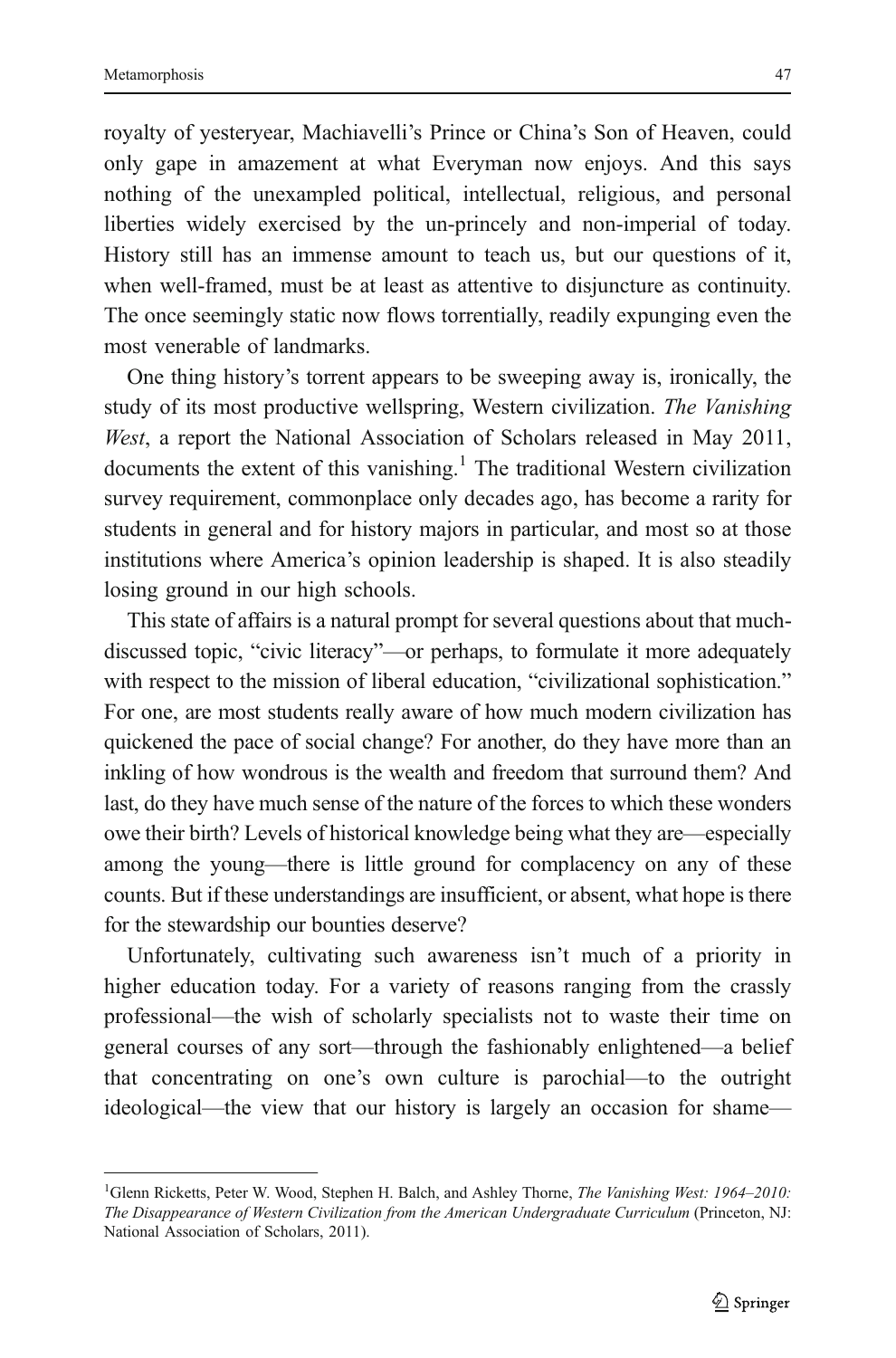royalty of yesteryear, Machiavelli's Prince or China's Son of Heaven, could only gape in amazement at what Everyman now enjoys. And this says nothing of the unexampled political, intellectual, religious, and personal liberties widely exercised by the un-princely and non-imperial of today. History still has an immense amount to teach us, but our questions of it, when well-framed, must be at least as attentive to disjuncture as continuity. The once seemingly static now flows torrentially, readily expunging even the most venerable of landmarks.

One thing history's torrent appears to be sweeping away is, ironically, the study of its most productive wellspring, Western civilization. The Vanishing West, a report the National Association of Scholars released in May 2011, documents the extent of this vanishing.<sup>1</sup> The traditional Western civilization survey requirement, commonplace only decades ago, has become a rarity for students in general and for history majors in particular, and most so at those institutions where America's opinion leadership is shaped. It is also steadily losing ground in our high schools.

This state of affairs is a natural prompt for several questions about that muchdiscussed topic, "civic literacy"—or perhaps, to formulate it more adequately with respect to the mission of liberal education, "civilizational sophistication." For one, are most students really aware of how much modern civilization has quickened the pace of social change? For another, do they have more than an inkling of how wondrous is the wealth and freedom that surround them? And last, do they have much sense of the nature of the forces to which these wonders owe their birth? Levels of historical knowledge being what they are—especially among the young—there is little ground for complacency on any of these counts. But if these understandings are insufficient, or absent, what hope is there for the stewardship our bounties deserve?

Unfortunately, cultivating such awareness isn't much of a priority in higher education today. For a variety of reasons ranging from the crassly professional—the wish of scholarly specialists not to waste their time on general courses of any sort—through the fashionably enlightened—a belief that concentrating on one's own culture is parochial—to the outright ideological—the view that our history is largely an occasion for shame—

<sup>&</sup>lt;sup>1</sup>Glenn Ricketts, Peter W. Wood, Stephen H. Balch, and Ashley Thorne, The Vanishing West: 1964-2010: The Disappearance of Western Civilization from the American Undergraduate Curriculum (Princeton, NJ: National Association of Scholars, 2011).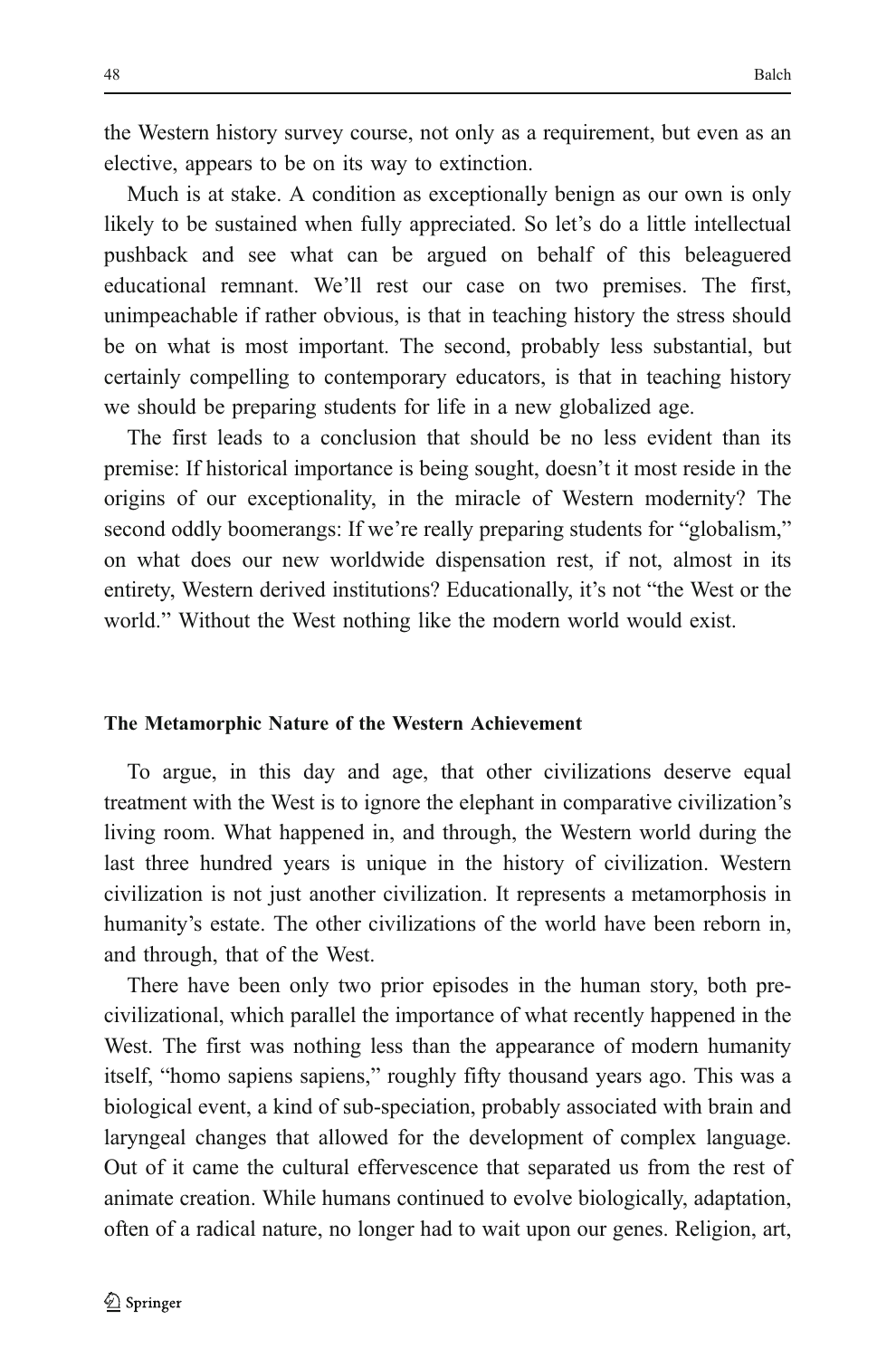the Western history survey course, not only as a requirement, but even as an elective, appears to be on its way to extinction.

Much is at stake. A condition as exceptionally benign as our own is only likely to be sustained when fully appreciated. So let's do a little intellectual pushback and see what can be argued on behalf of this beleaguered educational remnant. We'll rest our case on two premises. The first, unimpeachable if rather obvious, is that in teaching history the stress should be on what is most important. The second, probably less substantial, but certainly compelling to contemporary educators, is that in teaching history we should be preparing students for life in a new globalized age.

The first leads to a conclusion that should be no less evident than its premise: If historical importance is being sought, doesn't it most reside in the origins of our exceptionality, in the miracle of Western modernity? The second oddly boomerangs: If we're really preparing students for "globalism," on what does our new worldwide dispensation rest, if not, almost in its entirety, Western derived institutions? Educationally, it's not "the West or the world." Without the West nothing like the modern world would exist.

## The Metamorphic Nature of the Western Achievement

To argue, in this day and age, that other civilizations deserve equal treatment with the West is to ignore the elephant in comparative civilization's living room. What happened in, and through, the Western world during the last three hundred years is unique in the history of civilization. Western civilization is not just another civilization. It represents a metamorphosis in humanity's estate. The other civilizations of the world have been reborn in, and through, that of the West.

There have been only two prior episodes in the human story, both precivilizational, which parallel the importance of what recently happened in the West. The first was nothing less than the appearance of modern humanity itself, "homo sapiens sapiens," roughly fifty thousand years ago. This was a biological event, a kind of sub-speciation, probably associated with brain and laryngeal changes that allowed for the development of complex language. Out of it came the cultural effervescence that separated us from the rest of animate creation. While humans continued to evolve biologically, adaptation, often of a radical nature, no longer had to wait upon our genes. Religion, art,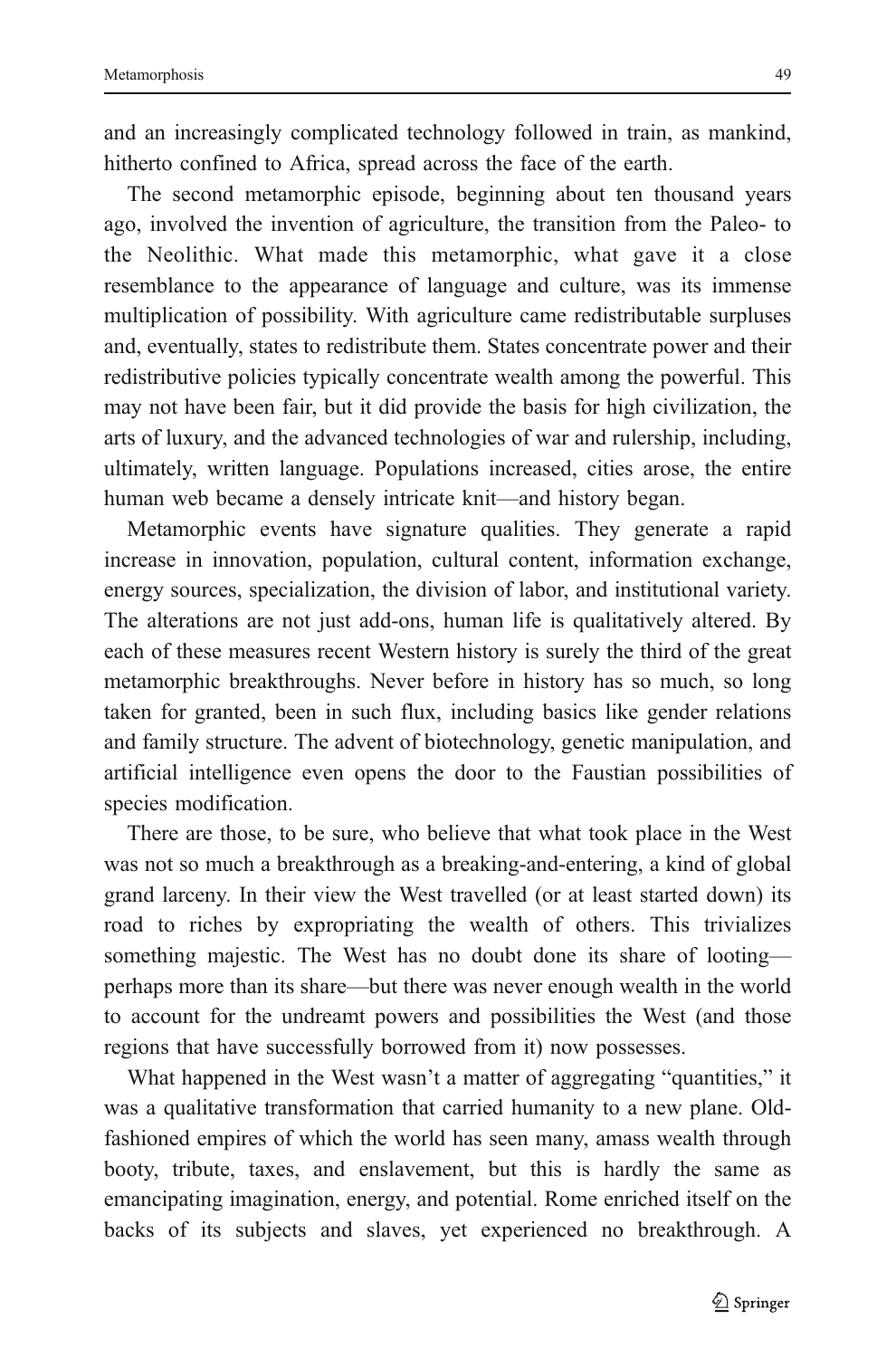and an increasingly complicated technology followed in train, as mankind, hitherto confined to Africa, spread across the face of the earth.

The second metamorphic episode, beginning about ten thousand years ago, involved the invention of agriculture, the transition from the Paleo- to the Neolithic. What made this metamorphic, what gave it a close resemblance to the appearance of language and culture, was its immense multiplication of possibility. With agriculture came redistributable surpluses and, eventually, states to redistribute them. States concentrate power and their redistributive policies typically concentrate wealth among the powerful. This may not have been fair, but it did provide the basis for high civilization, the arts of luxury, and the advanced technologies of war and rulership, including, ultimately, written language. Populations increased, cities arose, the entire human web became a densely intricate knit—and history began.

Metamorphic events have signature qualities. They generate a rapid increase in innovation, population, cultural content, information exchange, energy sources, specialization, the division of labor, and institutional variety. The alterations are not just add-ons, human life is qualitatively altered. By each of these measures recent Western history is surely the third of the great metamorphic breakthroughs. Never before in history has so much, so long taken for granted, been in such flux, including basics like gender relations and family structure. The advent of biotechnology, genetic manipulation, and artificial intelligence even opens the door to the Faustian possibilities of species modification.

There are those, to be sure, who believe that what took place in the West was not so much a breakthrough as a breaking-and-entering, a kind of global grand larceny. In their view the West travelled (or at least started down) its road to riches by expropriating the wealth of others. This trivializes something majestic. The West has no doubt done its share of looting perhaps more than its share—but there was never enough wealth in the world to account for the undreamt powers and possibilities the West (and those regions that have successfully borrowed from it) now possesses.

What happened in the West wasn't a matter of aggregating "quantities," it was a qualitative transformation that carried humanity to a new plane. Oldfashioned empires of which the world has seen many, amass wealth through booty, tribute, taxes, and enslavement, but this is hardly the same as emancipating imagination, energy, and potential. Rome enriched itself on the backs of its subjects and slaves, yet experienced no breakthrough. A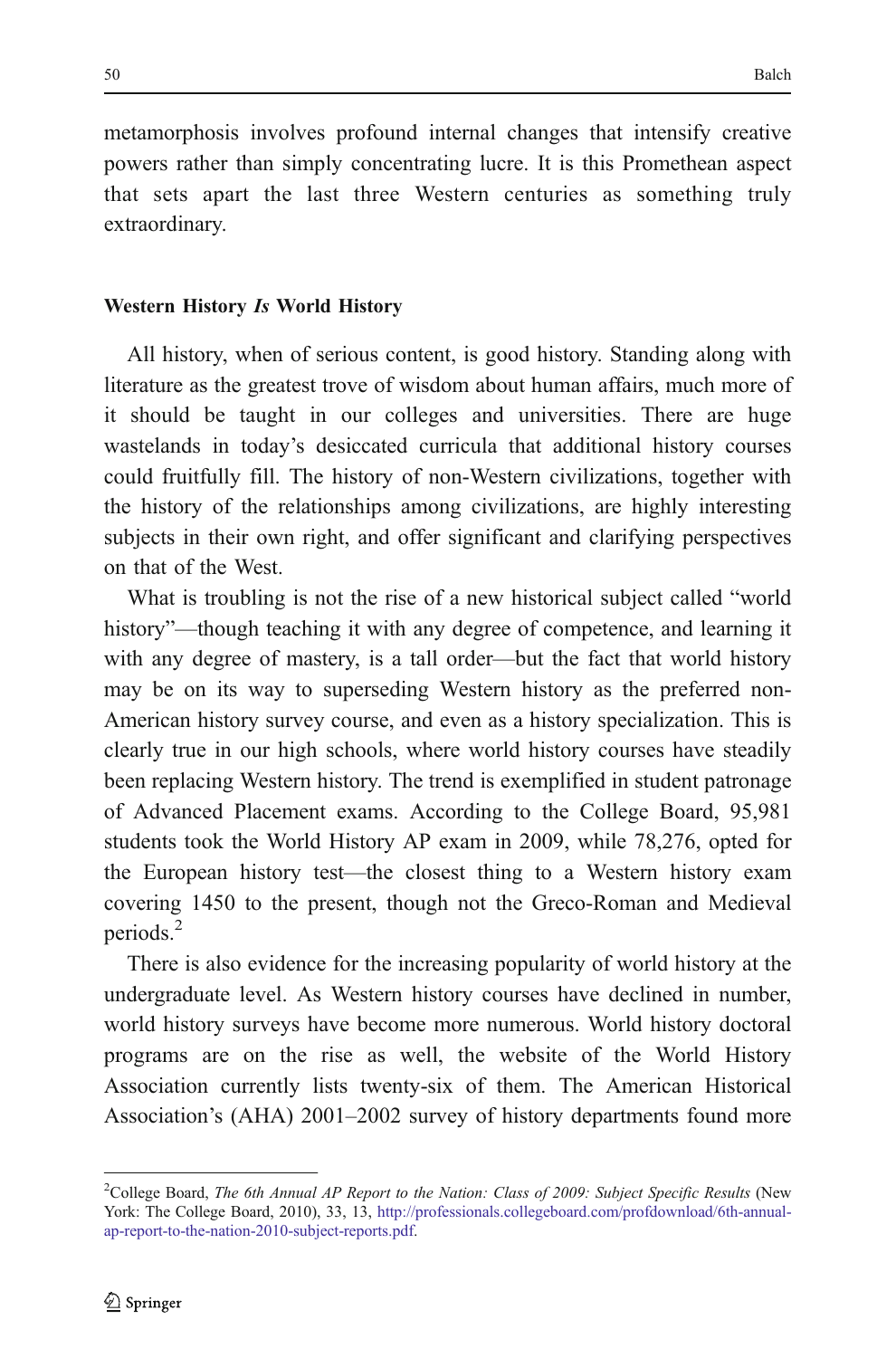metamorphosis involves profound internal changes that intensify creative powers rather than simply concentrating lucre. It is this Promethean aspect that sets apart the last three Western centuries as something truly extraordinary.

## Western History Is World History

All history, when of serious content, is good history. Standing along with literature as the greatest trove of wisdom about human affairs, much more of it should be taught in our colleges and universities. There are huge wastelands in today's desiccated curricula that additional history courses could fruitfully fill. The history of non-Western civilizations, together with the history of the relationships among civilizations, are highly interesting subjects in their own right, and offer significant and clarifying perspectives on that of the West.

What is troubling is not the rise of a new historical subject called "world history"—though teaching it with any degree of competence, and learning it with any degree of mastery, is a tall order—but the fact that world history may be on its way to superseding Western history as the preferred non-American history survey course, and even as a history specialization. This is clearly true in our high schools, where world history courses have steadily been replacing Western history. The trend is exemplified in student patronage of Advanced Placement exams. According to the College Board, 95,981 students took the World History AP exam in 2009, while 78,276, opted for the European history test—the closest thing to a Western history exam covering 1450 to the present, though not the Greco-Roman and Medieval periods.<sup>2</sup>

There is also evidence for the increasing popularity of world history at the undergraduate level. As Western history courses have declined in number, world history surveys have become more numerous. World history doctoral programs are on the rise as well, the website of the World History Association currently lists twenty-six of them. The American Historical Association's (AHA) 2001–2002 survey of history departments found more

<sup>&</sup>lt;sup>2</sup>College Board, The 6th Annual AP Report to the Nation: Class of 2009: Subject Specific Results (New York: The College Board, 2010), 33, 13, [http://professionals.collegeboard.com/profdownload/6th-annual](http://professionals.collegeboard.com/profdownload/6th-annual-ap-report-to-the-nation-2010-subject-reports.pdf)[ap-report-to-the-nation-2010-subject-reports.pdf](http://professionals.collegeboard.com/profdownload/6th-annual-ap-report-to-the-nation-2010-subject-reports.pdf).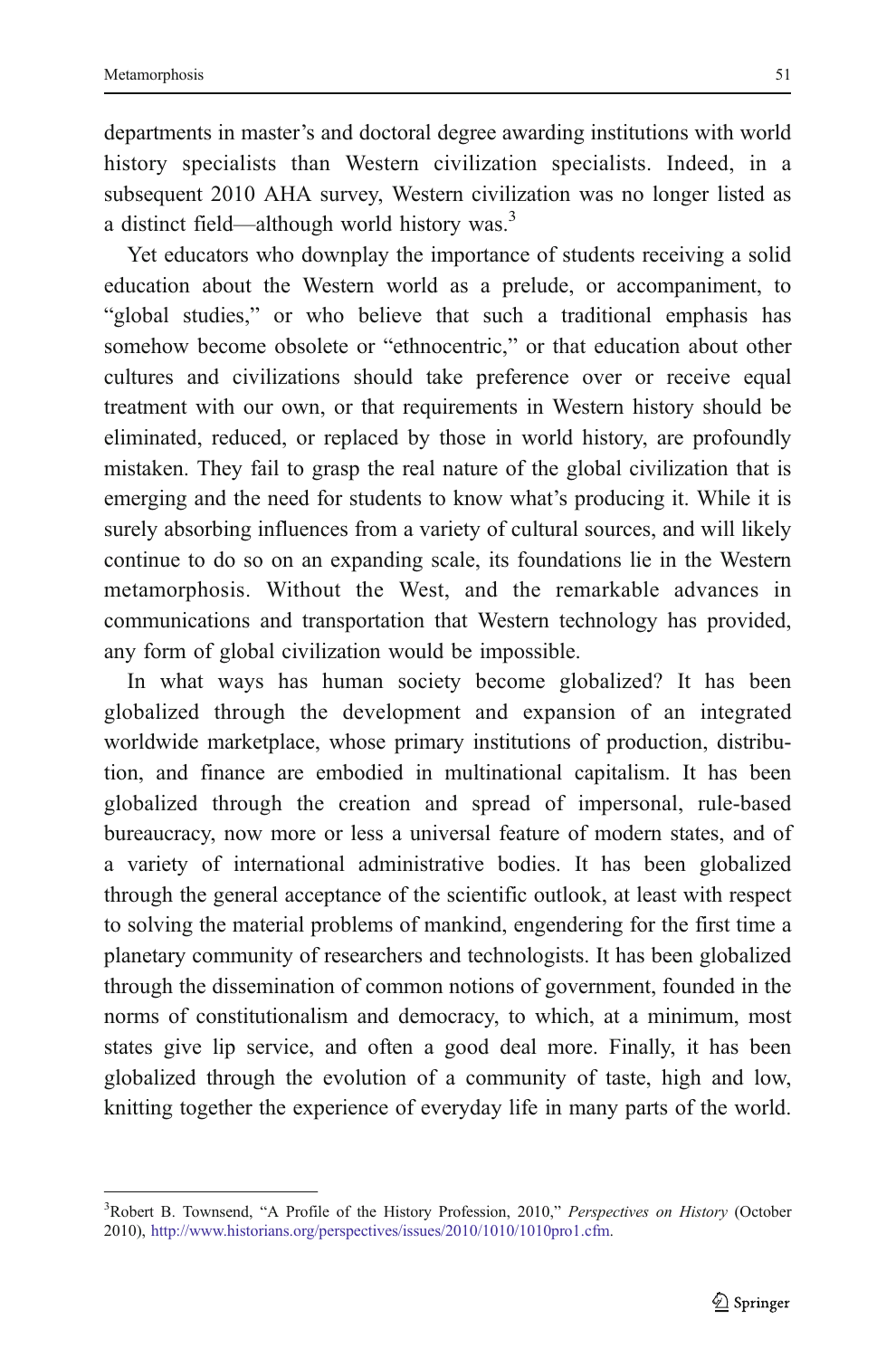departments in master's and doctoral degree awarding institutions with world history specialists than Western civilization specialists. Indeed, in a subsequent 2010 AHA survey, Western civilization was no longer listed as a distinct field—although world history was.<sup>3</sup>

Yet educators who downplay the importance of students receiving a solid education about the Western world as a prelude, or accompaniment, to "global studies," or who believe that such a traditional emphasis has somehow become obsolete or "ethnocentric," or that education about other cultures and civilizations should take preference over or receive equal treatment with our own, or that requirements in Western history should be eliminated, reduced, or replaced by those in world history, are profoundly mistaken. They fail to grasp the real nature of the global civilization that is emerging and the need for students to know what's producing it. While it is surely absorbing influences from a variety of cultural sources, and will likely continue to do so on an expanding scale, its foundations lie in the Western metamorphosis. Without the West, and the remarkable advances in communications and transportation that Western technology has provided, any form of global civilization would be impossible.

In what ways has human society become globalized? It has been globalized through the development and expansion of an integrated worldwide marketplace, whose primary institutions of production, distribution, and finance are embodied in multinational capitalism. It has been globalized through the creation and spread of impersonal, rule-based bureaucracy, now more or less a universal feature of modern states, and of a variety of international administrative bodies. It has been globalized through the general acceptance of the scientific outlook, at least with respect to solving the material problems of mankind, engendering for the first time a planetary community of researchers and technologists. It has been globalized through the dissemination of common notions of government, founded in the norms of constitutionalism and democracy, to which, at a minimum, most states give lip service, and often a good deal more. Finally, it has been globalized through the evolution of a community of taste, high and low, knitting together the experience of everyday life in many parts of the world.

<sup>&</sup>lt;sup>3</sup>Robert B. Townsend, "A Profile of the History Profession, 2010," Perspectives on History (October 2010), <http://www.historians.org/perspectives/issues/2010/1010/1010pro1.cfm>.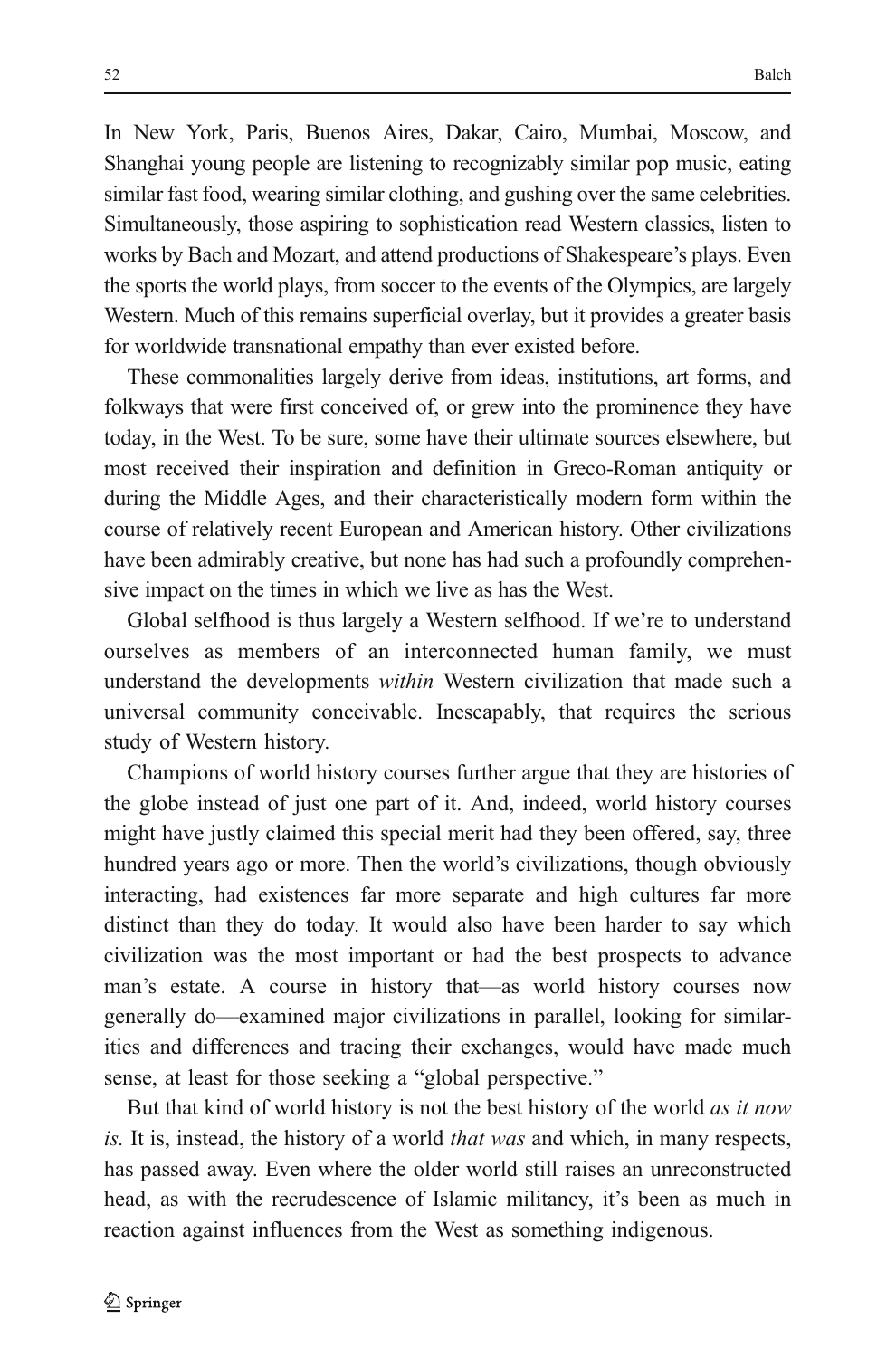In New York, Paris, Buenos Aires, Dakar, Cairo, Mumbai, Moscow, and Shanghai young people are listening to recognizably similar pop music, eating similar fast food, wearing similar clothing, and gushing over the same celebrities. Simultaneously, those aspiring to sophistication read Western classics, listen to works by Bach and Mozart, and attend productions of Shakespeare's plays. Even the sports the world plays, from soccer to the events of the Olympics, are largely Western. Much of this remains superficial overlay, but it provides a greater basis for worldwide transnational empathy than ever existed before.

These commonalities largely derive from ideas, institutions, art forms, and folkways that were first conceived of, or grew into the prominence they have today, in the West. To be sure, some have their ultimate sources elsewhere, but most received their inspiration and definition in Greco-Roman antiquity or during the Middle Ages, and their characteristically modern form within the course of relatively recent European and American history. Other civilizations have been admirably creative, but none has had such a profoundly comprehensive impact on the times in which we live as has the West.

Global selfhood is thus largely a Western selfhood. If we're to understand ourselves as members of an interconnected human family, we must understand the developments within Western civilization that made such a universal community conceivable. Inescapably, that requires the serious study of Western history.

Champions of world history courses further argue that they are histories of the globe instead of just one part of it. And, indeed, world history courses might have justly claimed this special merit had they been offered, say, three hundred years ago or more. Then the world's civilizations, though obviously interacting, had existences far more separate and high cultures far more distinct than they do today. It would also have been harder to say which civilization was the most important or had the best prospects to advance man's estate. A course in history that—as world history courses now generally do—examined major civilizations in parallel, looking for similarities and differences and tracing their exchanges, would have made much sense, at least for those seeking a "global perspective."

But that kind of world history is not the best history of the world *as it now* is. It is, instead, the history of a world *that was* and which, in many respects, has passed away. Even where the older world still raises an unreconstructed head, as with the recrudescence of Islamic militancy, it's been as much in reaction against influences from the West as something indigenous.